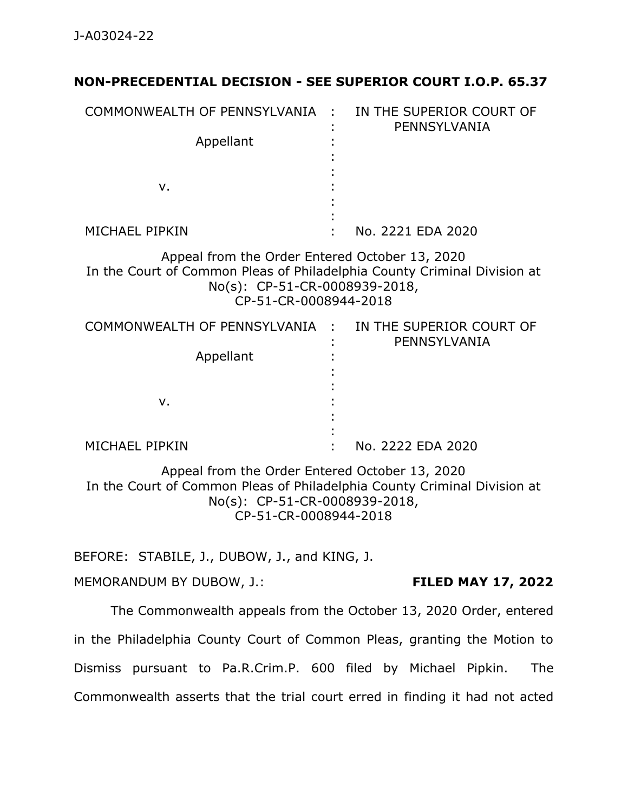## **NON-PRECEDENTIAL DECISION - SEE SUPERIOR COURT I.O.P. 65.37**

| COMMONWEALTH OF PENNSYLVANIA :                                                                                                                                                       |  | IN THE SUPERIOR COURT OF<br>PENNSYLVANIA |
|--------------------------------------------------------------------------------------------------------------------------------------------------------------------------------------|--|------------------------------------------|
| Appellant                                                                                                                                                                            |  |                                          |
|                                                                                                                                                                                      |  |                                          |
| ν.                                                                                                                                                                                   |  |                                          |
|                                                                                                                                                                                      |  |                                          |
|                                                                                                                                                                                      |  |                                          |
| MICHAEL PIPKIN                                                                                                                                                                       |  | No. 2221 EDA 2020                        |
| Appeal from the Order Entered October 13, 2020<br>In the Court of Common Pleas of Philadelphia County Criminal Division at<br>No(s): CP-51-CR-0008939-2018,<br>CP-51-CR-0008944-2018 |  |                                          |
| COMMONWEALTH OF PENNSYLVANIA :                                                                                                                                                       |  | IN THE SUPERIOR COURT OF<br>PENNSYLVANIA |
| Appellant                                                                                                                                                                            |  |                                          |
|                                                                                                                                                                                      |  |                                          |
|                                                                                                                                                                                      |  |                                          |
| ν.                                                                                                                                                                                   |  |                                          |

MICHAEL PIPKIN : : No. 2222 EDA 2020

Appeal from the Order Entered October 13, 2020 In the Court of Common Pleas of Philadelphia County Criminal Division at No(s): CP-51-CR-0008939-2018, CP-51-CR-0008944-2018

:

BEFORE: STABILE, J., DUBOW, J., and KING, J.

MEMORANDUM BY DUBOW, J.: **FILED MAY 17, 2022**

The Commonwealth appeals from the October 13, 2020 Order, entered in the Philadelphia County Court of Common Pleas, granting the Motion to Dismiss pursuant to Pa.R.Crim.P. 600 filed by Michael Pipkin. The Commonwealth asserts that the trial court erred in finding it had not acted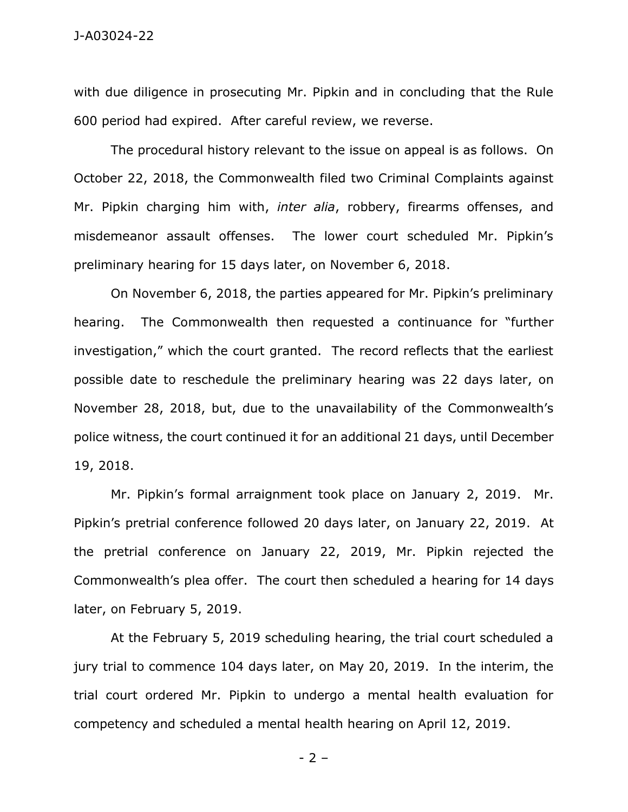with due diligence in prosecuting Mr. Pipkin and in concluding that the Rule 600 period had expired. After careful review, we reverse.

The procedural history relevant to the issue on appeal is as follows. On October 22, 2018, the Commonwealth filed two Criminal Complaints against Mr. Pipkin charging him with, *inter alia*, robbery, firearms offenses, and misdemeanor assault offenses. The lower court scheduled Mr. Pipkin's preliminary hearing for 15 days later, on November 6, 2018.

On November 6, 2018, the parties appeared for Mr. Pipkin's preliminary hearing. The Commonwealth then requested a continuance for "further investigation," which the court granted. The record reflects that the earliest possible date to reschedule the preliminary hearing was 22 days later, on November 28, 2018, but, due to the unavailability of the Commonwealth's police witness, the court continued it for an additional 21 days, until December 19, 2018.

Mr. Pipkin's formal arraignment took place on January 2, 2019. Mr. Pipkin's pretrial conference followed 20 days later, on January 22, 2019. At the pretrial conference on January 22, 2019, Mr. Pipkin rejected the Commonwealth's plea offer. The court then scheduled a hearing for 14 days later, on February 5, 2019.

At the February 5, 2019 scheduling hearing, the trial court scheduled a jury trial to commence 104 days later, on May 20, 2019. In the interim, the trial court ordered Mr. Pipkin to undergo a mental health evaluation for competency and scheduled a mental health hearing on April 12, 2019.

 $-2 -$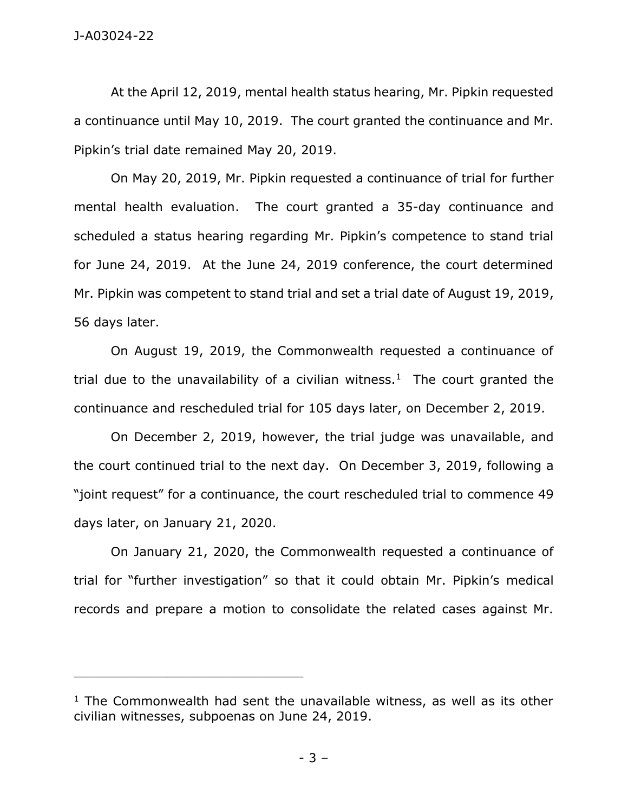At the April 12, 2019, mental health status hearing, Mr. Pipkin requested a continuance until May 10, 2019. The court granted the continuance and Mr. Pipkin's trial date remained May 20, 2019.

On May 20, 2019, Mr. Pipkin requested a continuance of trial for further mental health evaluation. The court granted a 35-day continuance and scheduled a status hearing regarding Mr. Pipkin's competence to stand trial for June 24, 2019. At the June 24, 2019 conference, the court determined Mr. Pipkin was competent to stand trial and set a trial date of August 19, 2019, 56 days later.

On August 19, 2019, the Commonwealth requested a continuance of trial due to the unavailability of a civilian witness.<sup>1</sup> The court granted the continuance and rescheduled trial for 105 days later, on December 2, 2019.

On December 2, 2019, however, the trial judge was unavailable, and the court continued trial to the next day. On December 3, 2019, following a "joint request" for a continuance, the court rescheduled trial to commence 49 days later, on January 21, 2020.

On January 21, 2020, the Commonwealth requested a continuance of trial for "further investigation" so that it could obtain Mr. Pipkin's medical records and prepare a motion to consolidate the related cases against Mr.

 $1$  The Commonwealth had sent the unavailable witness, as well as its other civilian witnesses, subpoenas on June 24, 2019.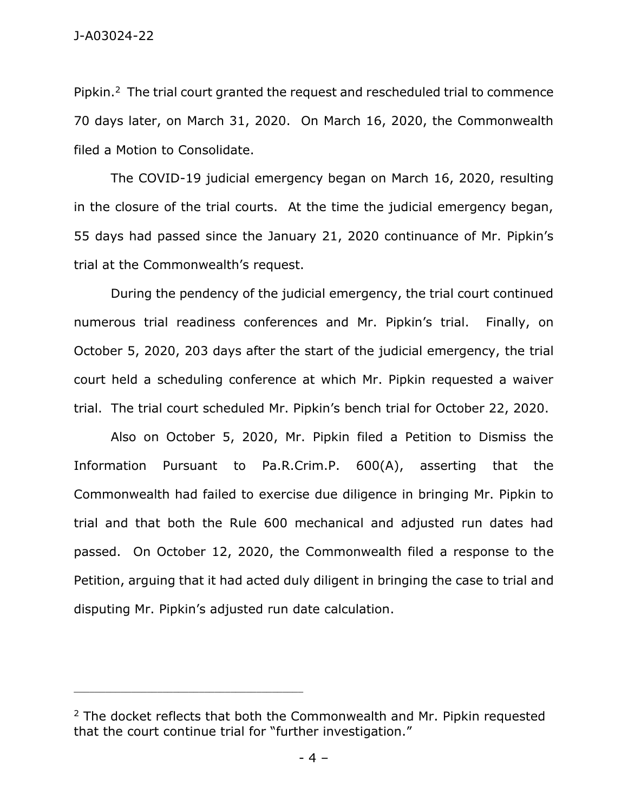Pipkin.<sup>2</sup> The trial court granted the request and rescheduled trial to commence 70 days later, on March 31, 2020. On March 16, 2020, the Commonwealth filed a Motion to Consolidate.

The COVID-19 judicial emergency began on March 16, 2020, resulting in the closure of the trial courts. At the time the judicial emergency began, 55 days had passed since the January 21, 2020 continuance of Mr. Pipkin's trial at the Commonwealth's request.

During the pendency of the judicial emergency, the trial court continued numerous trial readiness conferences and Mr. Pipkin's trial. Finally, on October 5, 2020, 203 days after the start of the judicial emergency, the trial court held a scheduling conference at which Mr. Pipkin requested a waiver trial. The trial court scheduled Mr. Pipkin's bench trial for October 22, 2020.

Also on October 5, 2020, Mr. Pipkin filed a Petition to Dismiss the Information Pursuant to Pa.R.Crim.P. 600(A), asserting that the Commonwealth had failed to exercise due diligence in bringing Mr. Pipkin to trial and that both the Rule 600 mechanical and adjusted run dates had passed. On October 12, 2020, the Commonwealth filed a response to the Petition, arguing that it had acted duly diligent in bringing the case to trial and disputing Mr. Pipkin's adjusted run date calculation.

<sup>&</sup>lt;sup>2</sup> The docket reflects that both the Commonwealth and Mr. Pipkin requested that the court continue trial for "further investigation."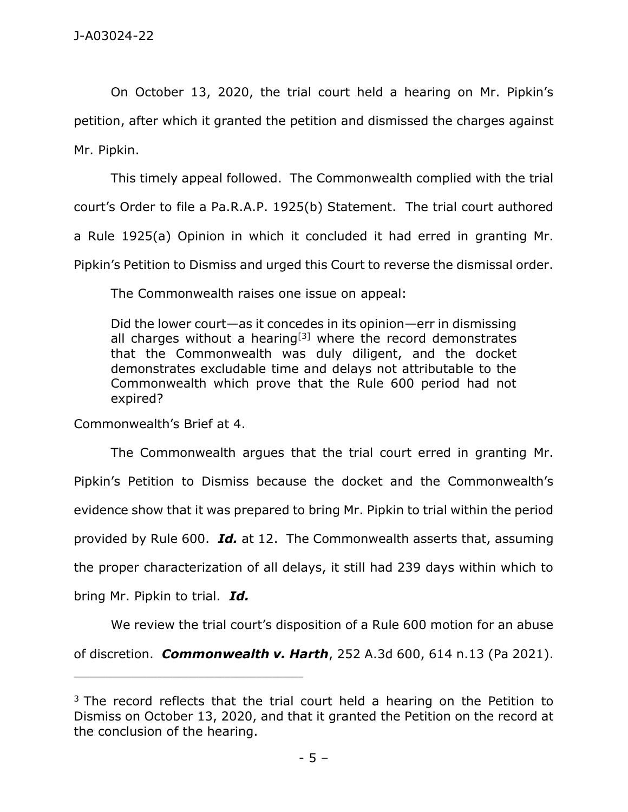On October 13, 2020, the trial court held a hearing on Mr. Pipkin's petition, after which it granted the petition and dismissed the charges against Mr. Pipkin.

This timely appeal followed. The Commonwealth complied with the trial court's Order to file a Pa.R.A.P. 1925(b) Statement. The trial court authored a Rule 1925(a) Opinion in which it concluded it had erred in granting Mr. Pipkin's Petition to Dismiss and urged this Court to reverse the dismissal order.

The Commonwealth raises one issue on appeal:

Did the lower court—as it concedes in its opinion—err in dismissing all charges without a hearing<sup>[3]</sup> where the record demonstrates that the Commonwealth was duly diligent, and the docket demonstrates excludable time and delays not attributable to the Commonwealth which prove that the Rule 600 period had not expired?

Commonwealth's Brief at 4.

\_\_\_\_\_\_\_\_\_\_\_\_\_\_\_\_\_\_\_\_\_\_\_\_\_\_\_\_\_\_\_\_\_\_\_\_\_\_\_\_\_\_\_\_

The Commonwealth argues that the trial court erred in granting Mr. Pipkin's Petition to Dismiss because the docket and the Commonwealth's evidence show that it was prepared to bring Mr. Pipkin to trial within the period provided by Rule 600. *Id.* at 12. The Commonwealth asserts that, assuming the proper characterization of all delays, it still had 239 days within which to bring Mr. Pipkin to trial. *Id.* 

We review the trial court's disposition of a Rule 600 motion for an abuse of discretion. *Commonwealth v. Harth*, 252 A.3d 600, 614 n.13 (Pa 2021).

 $3$  The record reflects that the trial court held a hearing on the Petition to Dismiss on October 13, 2020, and that it granted the Petition on the record at the conclusion of the hearing.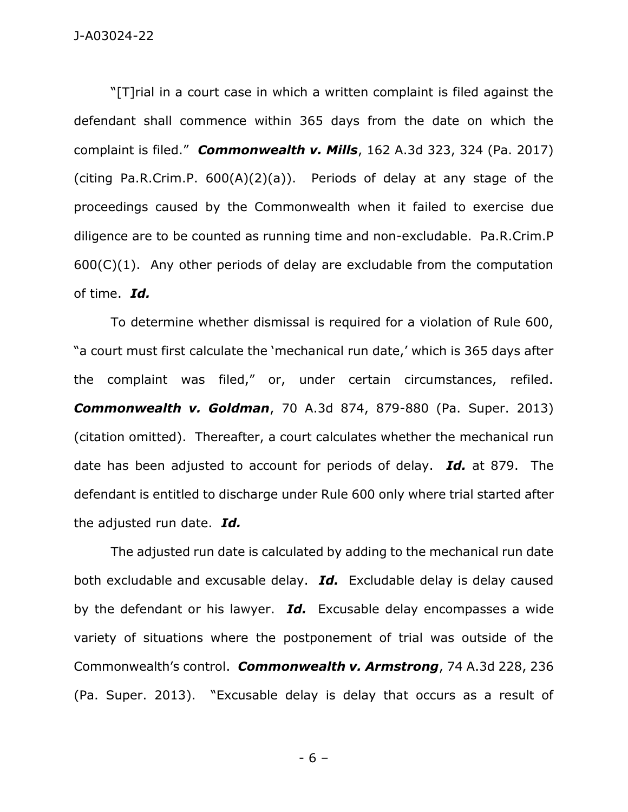"[T]rial in a court case in which a written complaint is filed against the defendant shall commence within 365 days from the date on which the complaint is filed." *Commonwealth v. Mills*, 162 A.3d 323, 324 (Pa. 2017) (citing Pa.R.Crim.P. 600(A)(2)(a)). Periods of delay at any stage of the proceedings caused by the Commonwealth when it failed to exercise due diligence are to be counted as running time and non-excludable. Pa.R.Crim.P  $600(C)(1)$ . Any other periods of delay are excludable from the computation of time. *Id.* 

To determine whether dismissal is required for a violation of Rule 600, "a court must first calculate the 'mechanical run date,' which is 365 days after the complaint was filed," or, under certain circumstances, refiled. *Commonwealth v. Goldman*, 70 A.3d 874, 879-880 (Pa. Super. 2013) (citation omitted). Thereafter, a court calculates whether the mechanical run date has been adjusted to account for periods of delay. *Id.* at 879. The defendant is entitled to discharge under Rule 600 only where trial started after the adjusted run date. *Id.*

The adjusted run date is calculated by adding to the mechanical run date both excludable and excusable delay. *Id.* Excludable delay is delay caused by the defendant or his lawyer. *Id.* Excusable delay encompasses a wide variety of situations where the postponement of trial was outside of the Commonwealth's control. *Commonwealth v. Armstrong*, 74 A.3d 228, 236 (Pa. Super. 2013). "Excusable delay is delay that occurs as a result of

- 6 –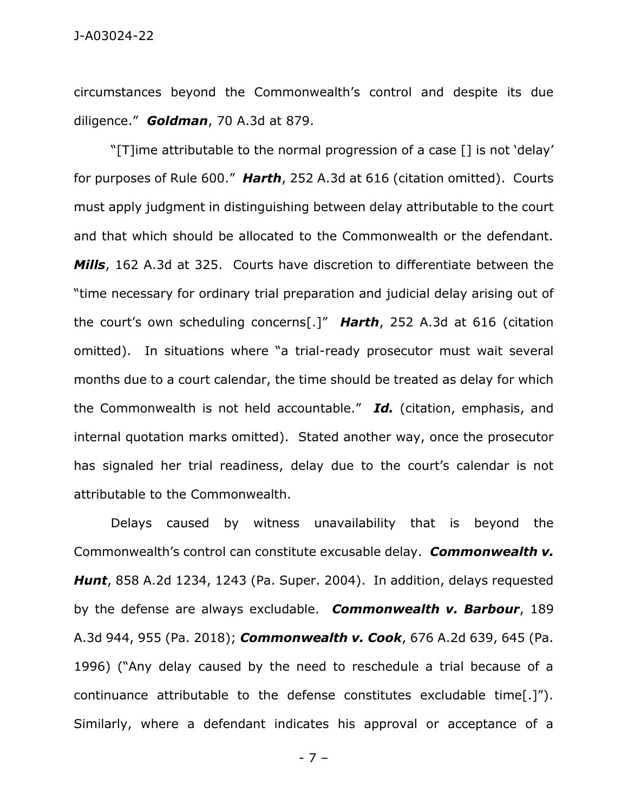circumstances beyond the Commonwealth's control and despite its due diligence." *Goldman*, 70 A.3d at 879.

"[T]ime attributable to the normal progression of a case [] is not 'delay' for purposes of Rule 600." *Harth*, 252 A.3d at 616 (citation omitted). Courts must apply judgment in distinguishing between delay attributable to the court and that which should be allocated to the Commonwealth or the defendant. *Mills*, 162 A.3d at 325. Courts have discretion to differentiate between the "time necessary for ordinary trial preparation and judicial delay arising out of the court's own scheduling concerns[.]" *Harth*, 252 A.3d at 616 (citation omitted). In situations where "a trial-ready prosecutor must wait several months due to a court calendar, the time should be treated as delay for which the Commonwealth is not held accountable." *Id.* (citation, emphasis, and internal quotation marks omitted). Stated another way, once the prosecutor has signaled her trial readiness, delay due to the court's calendar is not attributable to the Commonwealth.

Delays caused by witness unavailability that is beyond the Commonwealth's control can constitute excusable delay. *Commonwealth v. Hunt*, 858 A.2d 1234, 1243 (Pa. Super. 2004). In addition, delays requested by the defense are always excludable. *Commonwealth v. Barbour*, 189 A.3d 944, 955 (Pa. 2018); *Commonwealth v. Cook*, 676 A.2d 639, 645 (Pa. 1996) ("Any delay caused by the need to reschedule a trial because of a continuance attributable to the defense constitutes excludable time[.]"). Similarly, where a defendant indicates his approval or acceptance of a

- 7 –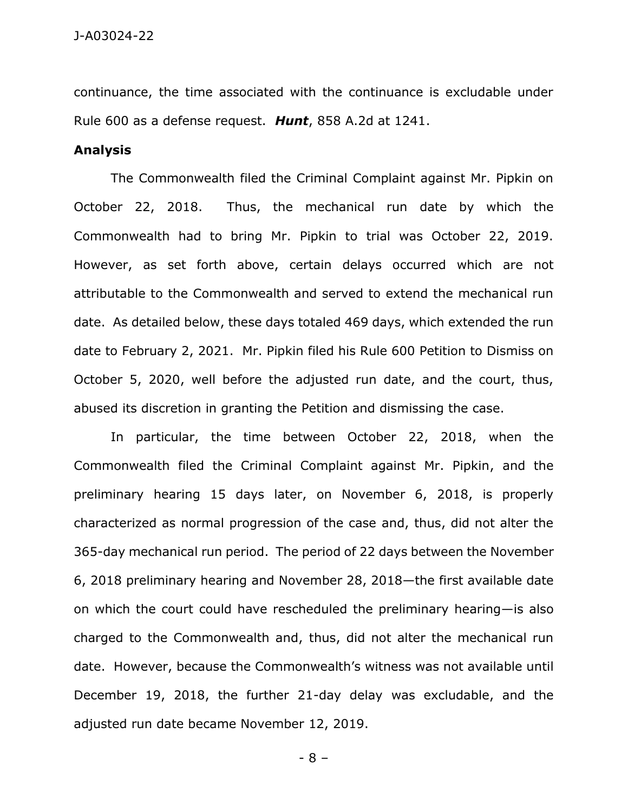continuance, the time associated with the continuance is excludable under Rule 600 as a defense request. *Hunt*, 858 A.2d at 1241.

## **Analysis**

The Commonwealth filed the Criminal Complaint against Mr. Pipkin on October 22, 2018. Thus, the mechanical run date by which the Commonwealth had to bring Mr. Pipkin to trial was October 22, 2019. However, as set forth above, certain delays occurred which are not attributable to the Commonwealth and served to extend the mechanical run date. As detailed below, these days totaled 469 days, which extended the run date to February 2, 2021. Mr. Pipkin filed his Rule 600 Petition to Dismiss on October 5, 2020, well before the adjusted run date, and the court, thus, abused its discretion in granting the Petition and dismissing the case.

In particular, the time between October 22, 2018, when the Commonwealth filed the Criminal Complaint against Mr. Pipkin, and the preliminary hearing 15 days later, on November 6, 2018, is properly characterized as normal progression of the case and, thus, did not alter the 365-day mechanical run period. The period of 22 days between the November 6, 2018 preliminary hearing and November 28, 2018—the first available date on which the court could have rescheduled the preliminary hearing—is also charged to the Commonwealth and, thus, did not alter the mechanical run date. However, because the Commonwealth's witness was not available until December 19, 2018, the further 21-day delay was excludable, and the adjusted run date became November 12, 2019.

- 8 –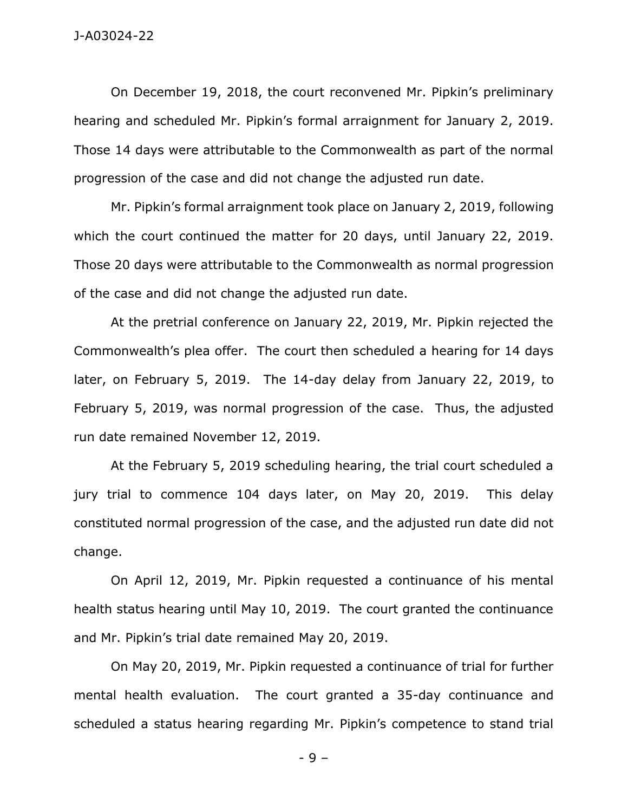On December 19, 2018, the court reconvened Mr. Pipkin's preliminary hearing and scheduled Mr. Pipkin's formal arraignment for January 2, 2019. Those 14 days were attributable to the Commonwealth as part of the normal progression of the case and did not change the adjusted run date.

Mr. Pipkin's formal arraignment took place on January 2, 2019, following which the court continued the matter for 20 days, until January 22, 2019. Those 20 days were attributable to the Commonwealth as normal progression of the case and did not change the adjusted run date.

At the pretrial conference on January 22, 2019, Mr. Pipkin rejected the Commonwealth's plea offer. The court then scheduled a hearing for 14 days later, on February 5, 2019. The 14-day delay from January 22, 2019, to February 5, 2019, was normal progression of the case. Thus, the adjusted run date remained November 12, 2019.

At the February 5, 2019 scheduling hearing, the trial court scheduled a jury trial to commence 104 days later, on May 20, 2019. This delay constituted normal progression of the case, and the adjusted run date did not change.

On April 12, 2019, Mr. Pipkin requested a continuance of his mental health status hearing until May 10, 2019. The court granted the continuance and Mr. Pipkin's trial date remained May 20, 2019.

On May 20, 2019, Mr. Pipkin requested a continuance of trial for further mental health evaluation. The court granted a 35-day continuance and scheduled a status hearing regarding Mr. Pipkin's competence to stand trial

- 9 –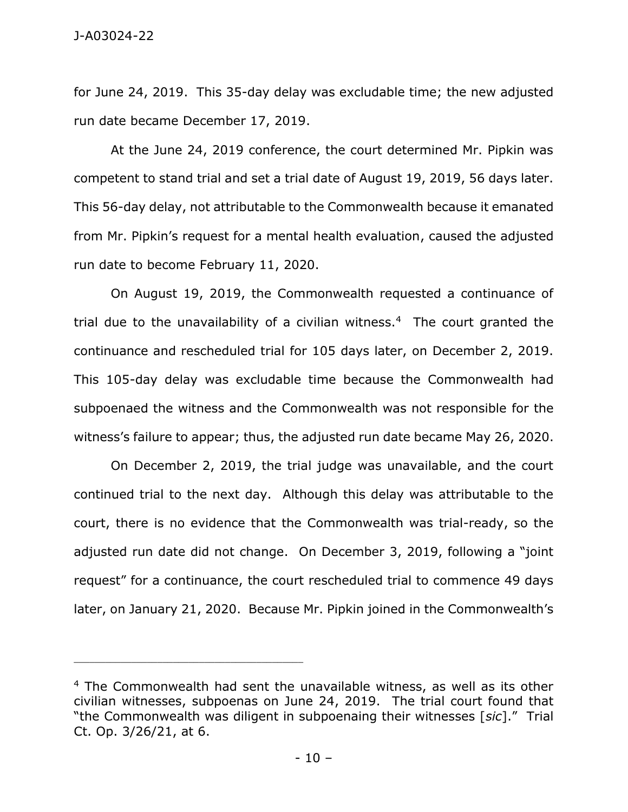for June 24, 2019. This 35-day delay was excludable time; the new adjusted run date became December 17, 2019.

At the June 24, 2019 conference, the court determined Mr. Pipkin was competent to stand trial and set a trial date of August 19, 2019, 56 days later. This 56-day delay, not attributable to the Commonwealth because it emanated from Mr. Pipkin's request for a mental health evaluation, caused the adjusted run date to become February 11, 2020.

On August 19, 2019, the Commonwealth requested a continuance of trial due to the unavailability of a civilian witness.<sup>4</sup> The court granted the continuance and rescheduled trial for 105 days later, on December 2, 2019. This 105-day delay was excludable time because the Commonwealth had subpoenaed the witness and the Commonwealth was not responsible for the witness's failure to appear; thus, the adjusted run date became May 26, 2020.

On December 2, 2019, the trial judge was unavailable, and the court continued trial to the next day. Although this delay was attributable to the court, there is no evidence that the Commonwealth was trial-ready, so the adjusted run date did not change. On December 3, 2019, following a "joint request" for a continuance, the court rescheduled trial to commence 49 days later, on January 21, 2020. Because Mr. Pipkin joined in the Commonwealth's

<sup>&</sup>lt;sup>4</sup> The Commonwealth had sent the unavailable witness, as well as its other civilian witnesses, subpoenas on June 24, 2019. The trial court found that "the Commonwealth was diligent in subpoenaing their witnesses [*sic*]." Trial Ct. Op. 3/26/21, at 6.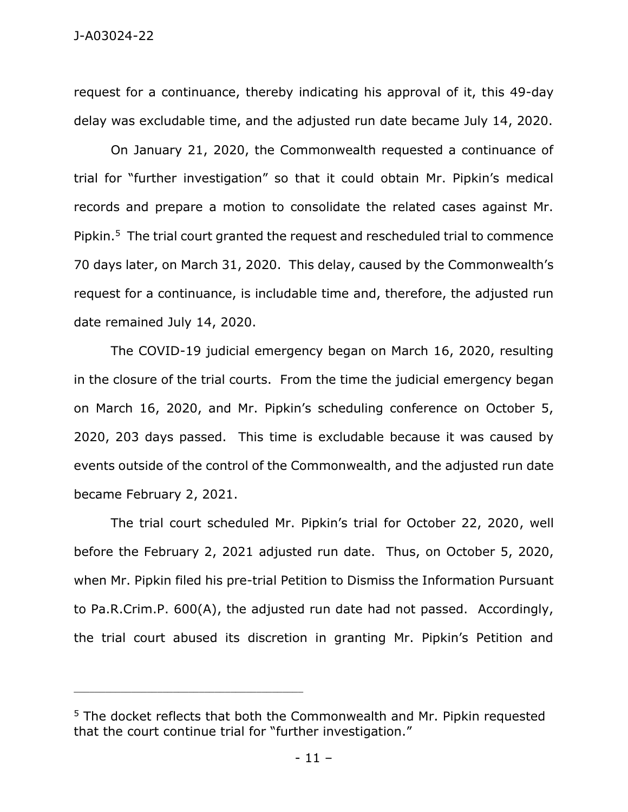request for a continuance, thereby indicating his approval of it, this 49-day delay was excludable time, and the adjusted run date became July 14, 2020.

On January 21, 2020, the Commonwealth requested a continuance of trial for "further investigation" so that it could obtain Mr. Pipkin's medical records and prepare a motion to consolidate the related cases against Mr. Pipkin.<sup>5</sup> The trial court granted the request and rescheduled trial to commence 70 days later, on March 31, 2020. This delay, caused by the Commonwealth's request for a continuance, is includable time and, therefore, the adjusted run date remained July 14, 2020.

The COVID-19 judicial emergency began on March 16, 2020, resulting in the closure of the trial courts. From the time the judicial emergency began on March 16, 2020, and Mr. Pipkin's scheduling conference on October 5, 2020, 203 days passed. This time is excludable because it was caused by events outside of the control of the Commonwealth, and the adjusted run date became February 2, 2021.

The trial court scheduled Mr. Pipkin's trial for October 22, 2020, well before the February 2, 2021 adjusted run date. Thus, on October 5, 2020, when Mr. Pipkin filed his pre-trial Petition to Dismiss the Information Pursuant to Pa.R.Crim.P. 600(A), the adjusted run date had not passed. Accordingly, the trial court abused its discretion in granting Mr. Pipkin's Petition and

<sup>&</sup>lt;sup>5</sup> The docket reflects that both the Commonwealth and Mr. Pipkin requested that the court continue trial for "further investigation."